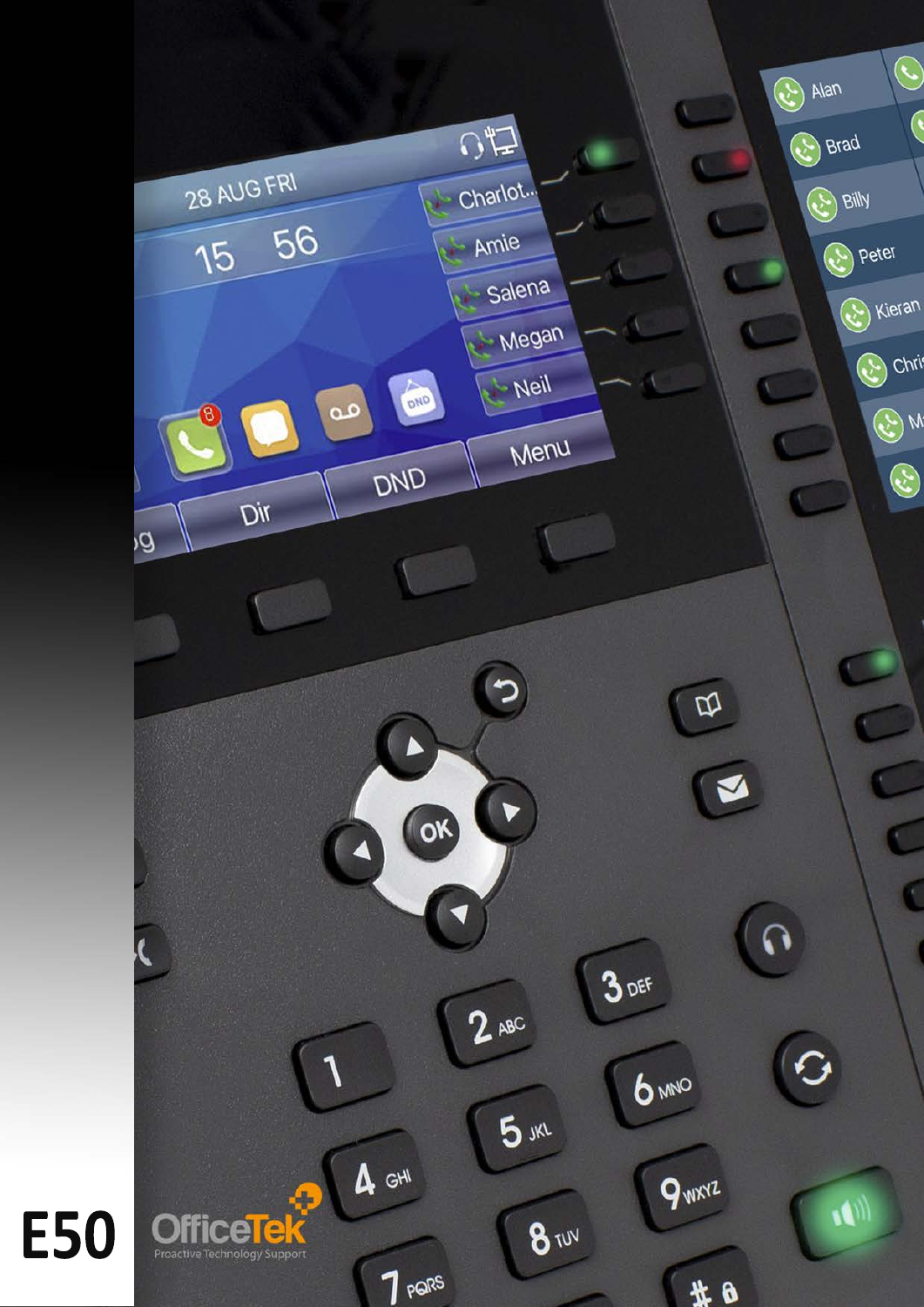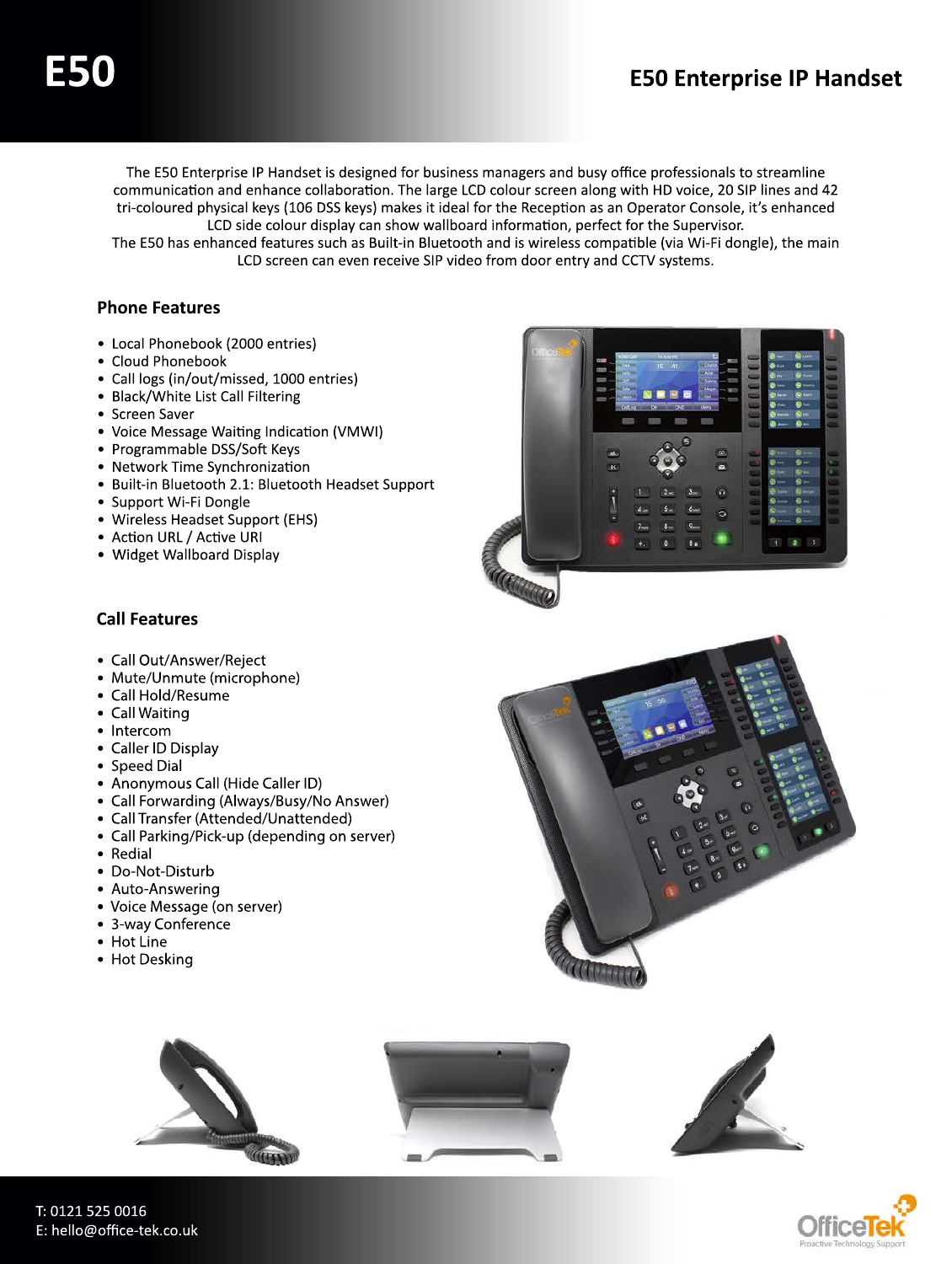The E50 Enterprise IP Handset is designed for business managers and busy office professionals to streamline communication and enhance collaboration. The large LCD colour screen along with HD voice, 20 SIP lines and 42 tri-coloured physical keys (106 DSS keys) makes it ideal for the Reception as an Operator Console, it's enhanced LCD side colour display can show wallboard information, perfect for the Supervisor.

The E50 has enhanced features such as Built-in Bluetooth and is wireless compatible (via Wi-Fi dongle), the main LCD screen can even receive SIP video from door entry and CCTV systems.

## **Phone Features**

- Local Phonebook (2000 entries)
- Cloud Phonebook
- Call logs (in/out/missed, 1000 entries)
- Black/White List Call Filtering
- Screen Saver
- Voice Message Waiting Indication (VMWI)
- Programmable DSS/Soft Keys
- Network Time Synchronization
- Built-in Bluetooth 2.1: Bluetooth Headset Support
- Support Wi-Fi Dongle
- Wireless Headset Support (EHS)
- Action URL / Active URI
- Widget Wallboard Display



## **Call Features**

- Call Out/Answer/Reject
- Mute/Unmute (microphone)
- Call Hold/Resume
- Call Waiting
- Intercom
- Caller ID Display
- Speed Dial
- Anonymous Call (Hide Caller ID)
- Call Forwarding (Always/Busy/No Answer)
- Call Transfer (Attended/Unattended)
- Call Parking/Pick-up (depending on server)
- Redial
- Do-Not-Disturb
- Auto-Answering
- Voice Message (on server)
- 3-way Conference
- Hot Line
- Hot Desking





T: 0121 525 0016 E: hello@office-tek.co.uk